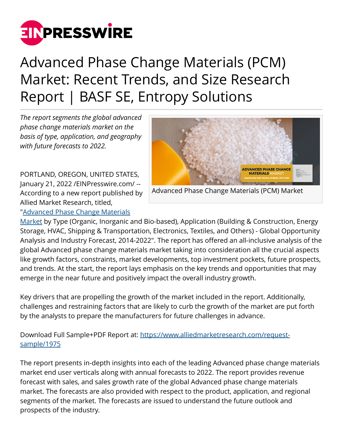

## Advanced Phase Change Materials (PCM) Market: Recent Trends, and Size Research Report | BASF SE, Entropy Solutions

*The report segments the global advanced phase change materials market on the basis of type, application, and geography with future forecasts to 2022.*

PORTLAND, OREGON, UNITED STATES, January 21, 2022 /[EINPresswire.com](http://www.einpresswire.com)/ -- According to a new report published by Allied Market Research, titled,



Advanced Phase Change Materials (PCM) Market

"[Advanced Phase Change Materials](https://www.alliedmarketresearch.com/advanced-phase-change-materials-market)

[Market](https://www.alliedmarketresearch.com/advanced-phase-change-materials-market) by Type (Organic, Inorganic and Bio-based), Application (Building & Construction, Energy Storage, HVAC, Shipping & Transportation, Electronics, Textiles, and Others) - Global Opportunity Analysis and Industry Forecast, 2014-2022". The report has offered an all-inclusive analysis of the global Advanced phase change materials market taking into consideration all the crucial aspects like growth factors, constraints, market developments, top investment pockets, future prospects, and trends. At the start, the report lays emphasis on the key trends and opportunities that may emerge in the near future and positively impact the overall industry growth.

Key drivers that are propelling the growth of the market included in the report. Additionally, challenges and restraining factors that are likely to curb the growth of the market are put forth by the analysts to prepare the manufacturers for future challenges in advance.

Download Full Sample+PDF Report at: [https://www.alliedmarketresearch.com/request](https://www.alliedmarketresearch.com/request-sample/1975)[sample/1975](https://www.alliedmarketresearch.com/request-sample/1975)

The report presents in-depth insights into each of the leading Advanced phase change materials market end user verticals along with annual forecasts to 2022. The report provides revenue forecast with sales, and sales growth rate of the global Advanced phase change materials market. The forecasts are also provided with respect to the product, application, and regional segments of the market. The forecasts are issued to understand the future outlook and prospects of the industry.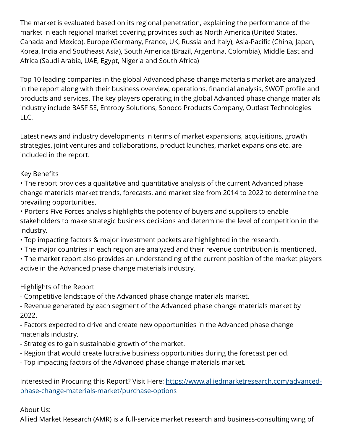The market is evaluated based on its regional penetration, explaining the performance of the market in each regional market covering provinces such as North America (United States, Canada and Mexico), Europe (Germany, France, UK, Russia and Italy), Asia-Pacific (China, Japan, Korea, India and Southeast Asia), South America (Brazil, Argentina, Colombia), Middle East and Africa (Saudi Arabia, UAE, Egypt, Nigeria and South Africa)

Top 10 leading companies in the global Advanced phase change materials market are analyzed in the report along with their business overview, operations, financial analysis, SWOT profile and products and services. The key players operating in the global Advanced phase change materials industry include BASF SE, Entropy Solutions, Sonoco Products Company, Outlast Technologies LLC.

Latest news and industry developments in terms of market expansions, acquisitions, growth strategies, joint ventures and collaborations, product launches, market expansions etc. are included in the report.

## Key Benefits

• The report provides a qualitative and quantitative analysis of the current Advanced phase change materials market trends, forecasts, and market size from 2014 to 2022 to determine the prevailing opportunities.

• Porter's Five Forces analysis highlights the potency of buyers and suppliers to enable stakeholders to make strategic business decisions and determine the level of competition in the industry.

- Top impacting factors & major investment pockets are highlighted in the research.
- The major countries in each region are analyzed and their revenue contribution is mentioned.
- The market report also provides an understanding of the current position of the market players active in the Advanced phase change materials industry.

## Highlights of the Report

- Competitive landscape of the Advanced phase change materials market.

- Revenue generated by each segment of the Advanced phase change materials market by 2022.

- Factors expected to drive and create new opportunities in the Advanced phase change materials industry.

- Strategies to gain sustainable growth of the market.
- Region that would create lucrative business opportunities during the forecast period.
- Top impacting factors of the Advanced phase change materials market.

Interested in Procuring this Report? Visit Here: [https://www.alliedmarketresearch.com/advanced](https://www.alliedmarketresearch.com/advanced-phase-change-materials-market/purchase-options)[phase-change-materials-market/purchase-options](https://www.alliedmarketresearch.com/advanced-phase-change-materials-market/purchase-options)

## About Us:

Allied Market Research (AMR) is a full-service market research and business-consulting wing of